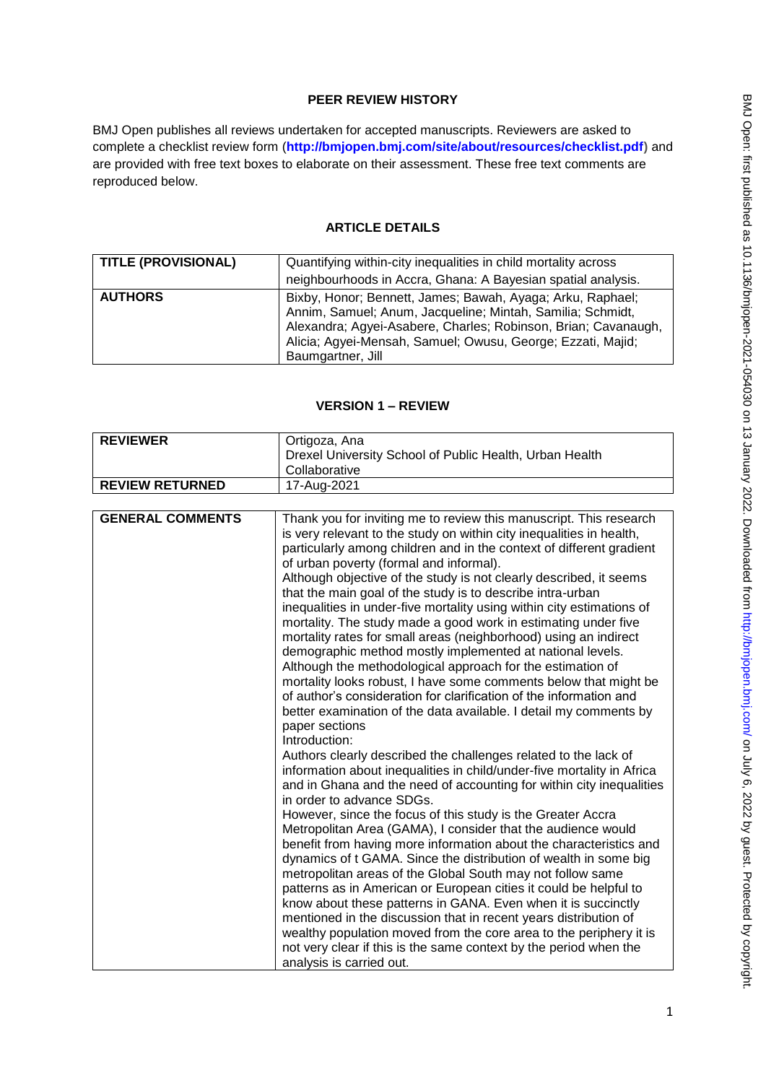# **PEER REVIEW HISTORY**

BMJ Open publishes all reviews undertaken for accepted manuscripts. Reviewers are asked to complete a checklist review form (**[http://bmjopen.bmj.com/site/about/resources/checklist.pdf\)](http://bmjopen.bmj.com/site/about/resources/checklist.pdf)** and are provided with free text boxes to elaborate on their assessment. These free text comments are reproduced below.

# **ARTICLE DETAILS**

| <b>TITLE (PROVISIONAL)</b> | Quantifying within-city inequalities in child mortality across<br>neighbourhoods in Accra, Ghana: A Bayesian spatial analysis.                                                                                                                                                 |
|----------------------------|--------------------------------------------------------------------------------------------------------------------------------------------------------------------------------------------------------------------------------------------------------------------------------|
| <b>AUTHORS</b>             | Bixby, Honor; Bennett, James; Bawah, Ayaga; Arku, Raphael;<br>Annim, Samuel; Anum, Jacqueline; Mintah, Samilia; Schmidt,<br>Alexandra; Agyei-Asabere, Charles; Robinson, Brian; Cavanaugh,<br>Alicia; Agyei-Mensah, Samuel; Owusu, George; Ezzati, Majid;<br>Baumgartner, Jill |

# **VERSION 1 – REVIEW**

| <b>REVIEWER</b>         | Ortigoza, Ana                                                                                                                                                                                                                                                                                                                                                                                                                                                                                                                                                                                                                                                                                                                                                                                                                                                                                                                                                                                                                                                                                                                                                                                                                                                                                                  |  |
|-------------------------|----------------------------------------------------------------------------------------------------------------------------------------------------------------------------------------------------------------------------------------------------------------------------------------------------------------------------------------------------------------------------------------------------------------------------------------------------------------------------------------------------------------------------------------------------------------------------------------------------------------------------------------------------------------------------------------------------------------------------------------------------------------------------------------------------------------------------------------------------------------------------------------------------------------------------------------------------------------------------------------------------------------------------------------------------------------------------------------------------------------------------------------------------------------------------------------------------------------------------------------------------------------------------------------------------------------|--|
|                         | Drexel University School of Public Health, Urban Health                                                                                                                                                                                                                                                                                                                                                                                                                                                                                                                                                                                                                                                                                                                                                                                                                                                                                                                                                                                                                                                                                                                                                                                                                                                        |  |
|                         | Collaborative                                                                                                                                                                                                                                                                                                                                                                                                                                                                                                                                                                                                                                                                                                                                                                                                                                                                                                                                                                                                                                                                                                                                                                                                                                                                                                  |  |
| <b>REVIEW RETURNED</b>  | 17-Aug-2021                                                                                                                                                                                                                                                                                                                                                                                                                                                                                                                                                                                                                                                                                                                                                                                                                                                                                                                                                                                                                                                                                                                                                                                                                                                                                                    |  |
|                         |                                                                                                                                                                                                                                                                                                                                                                                                                                                                                                                                                                                                                                                                                                                                                                                                                                                                                                                                                                                                                                                                                                                                                                                                                                                                                                                |  |
| <b>GENERAL COMMENTS</b> | Thank you for inviting me to review this manuscript. This research<br>is very relevant to the study on within city inequalities in health,<br>particularly among children and in the context of different gradient<br>of urban poverty (formal and informal).<br>Although objective of the study is not clearly described, it seems<br>that the main goal of the study is to describe intra-urban<br>inequalities in under-five mortality using within city estimations of<br>mortality. The study made a good work in estimating under five<br>mortality rates for small areas (neighborhood) using an indirect<br>demographic method mostly implemented at national levels.<br>Although the methodological approach for the estimation of<br>mortality looks robust, I have some comments below that might be<br>of author's consideration for clarification of the information and<br>better examination of the data available. I detail my comments by<br>paper sections<br>Introduction:<br>Authors clearly described the challenges related to the lack of<br>information about inequalities in child/under-five mortality in Africa<br>and in Ghana and the need of accounting for within city inequalities<br>in order to advance SDGs.<br>However, since the focus of this study is the Greater Accra |  |
|                         | Metropolitan Area (GAMA), I consider that the audience would<br>benefit from having more information about the characteristics and<br>dynamics of t GAMA. Since the distribution of wealth in some big                                                                                                                                                                                                                                                                                                                                                                                                                                                                                                                                                                                                                                                                                                                                                                                                                                                                                                                                                                                                                                                                                                         |  |
|                         | metropolitan areas of the Global South may not follow same                                                                                                                                                                                                                                                                                                                                                                                                                                                                                                                                                                                                                                                                                                                                                                                                                                                                                                                                                                                                                                                                                                                                                                                                                                                     |  |
|                         | patterns as in American or European cities it could be helpful to                                                                                                                                                                                                                                                                                                                                                                                                                                                                                                                                                                                                                                                                                                                                                                                                                                                                                                                                                                                                                                                                                                                                                                                                                                              |  |
|                         | know about these patterns in GANA. Even when it is succinctly                                                                                                                                                                                                                                                                                                                                                                                                                                                                                                                                                                                                                                                                                                                                                                                                                                                                                                                                                                                                                                                                                                                                                                                                                                                  |  |
|                         | mentioned in the discussion that in recent years distribution of                                                                                                                                                                                                                                                                                                                                                                                                                                                                                                                                                                                                                                                                                                                                                                                                                                                                                                                                                                                                                                                                                                                                                                                                                                               |  |
|                         | wealthy population moved from the core area to the periphery it is                                                                                                                                                                                                                                                                                                                                                                                                                                                                                                                                                                                                                                                                                                                                                                                                                                                                                                                                                                                                                                                                                                                                                                                                                                             |  |
|                         | not very clear if this is the same context by the period when the                                                                                                                                                                                                                                                                                                                                                                                                                                                                                                                                                                                                                                                                                                                                                                                                                                                                                                                                                                                                                                                                                                                                                                                                                                              |  |
|                         | analysis is carried out.                                                                                                                                                                                                                                                                                                                                                                                                                                                                                                                                                                                                                                                                                                                                                                                                                                                                                                                                                                                                                                                                                                                                                                                                                                                                                       |  |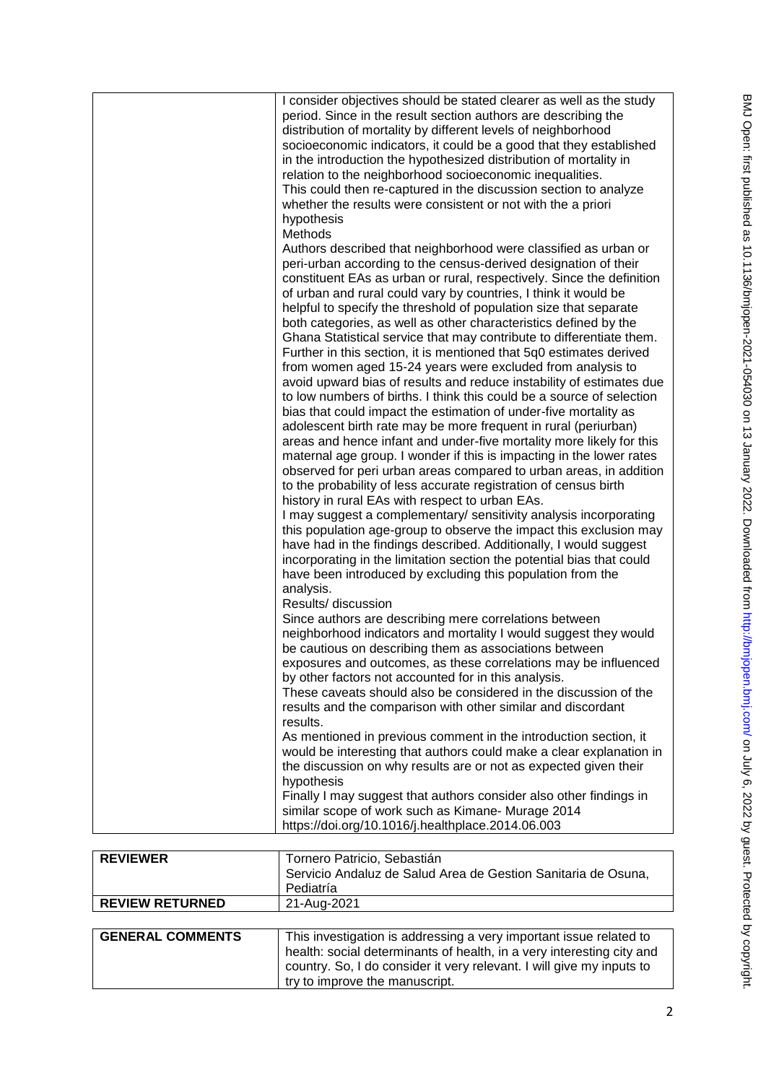|                 | I consider objectives should be stated clearer as well as the study   |
|-----------------|-----------------------------------------------------------------------|
|                 | period. Since in the result section authors are describing the        |
|                 | distribution of mortality by different levels of neighborhood         |
|                 | socioeconomic indicators, it could be a good that they established    |
|                 | in the introduction the hypothesized distribution of mortality in     |
|                 | relation to the neighborhood socioeconomic inequalities.              |
|                 |                                                                       |
|                 | This could then re-captured in the discussion section to analyze      |
|                 | whether the results were consistent or not with the a priori          |
|                 | hypothesis                                                            |
|                 | Methods                                                               |
|                 | Authors described that neighborhood were classified as urban or       |
|                 | peri-urban according to the census-derived designation of their       |
|                 | constituent EAs as urban or rural, respectively. Since the definition |
|                 | of urban and rural could vary by countries, I think it would be       |
|                 |                                                                       |
|                 | helpful to specify the threshold of population size that separate     |
|                 | both categories, as well as other characteristics defined by the      |
|                 | Ghana Statistical service that may contribute to differentiate them.  |
|                 | Further in this section, it is mentioned that 5q0 estimates derived   |
|                 | from women aged 15-24 years were excluded from analysis to            |
|                 | avoid upward bias of results and reduce instability of estimates due  |
|                 | to low numbers of births. I think this could be a source of selection |
|                 |                                                                       |
|                 | bias that could impact the estimation of under-five mortality as      |
|                 | adolescent birth rate may be more frequent in rural (periurban)       |
|                 | areas and hence infant and under-five mortality more likely for this  |
|                 | maternal age group. I wonder if this is impacting in the lower rates  |
|                 | observed for peri urban areas compared to urban areas, in addition    |
|                 | to the probability of less accurate registration of census birth      |
|                 | history in rural EAs with respect to urban EAs.                       |
|                 | I may suggest a complementary/ sensitivity analysis incorporating     |
|                 | this population age-group to observe the impact this exclusion may    |
|                 |                                                                       |
|                 | have had in the findings described. Additionally, I would suggest     |
|                 | incorporating in the limitation section the potential bias that could |
|                 | have been introduced by excluding this population from the            |
|                 | analysis.                                                             |
|                 | Results/ discussion                                                   |
|                 | Since authors are describing mere correlations between                |
|                 | neighborhood indicators and mortality I would suggest they would      |
|                 | be cautious on describing them as associations between                |
|                 | exposures and outcomes, as these correlations may be influenced       |
|                 |                                                                       |
|                 | by other factors not accounted for in this analysis.                  |
|                 | These caveats should also be considered in the discussion of the      |
|                 | results and the comparison with other similar and discordant          |
|                 | results.                                                              |
|                 | As mentioned in previous comment in the introduction section, it      |
|                 | would be interesting that authors could make a clear explanation in   |
|                 | the discussion on why results are or not as expected given their      |
|                 | hypothesis                                                            |
|                 |                                                                       |
|                 | Finally I may suggest that authors consider also other findings in    |
|                 | similar scope of work such as Kimane- Murage 2014                     |
|                 | https://doi.org/10.1016/j.healthplace.2014.06.003                     |
|                 |                                                                       |
| <b>REVIEWER</b> | Tornero Patricio, Sebastián                                           |

|                         | Servicio Andaluz de Salud Area de Gestion Sanitaria de Osuna,<br>Pediatría                                                                                                                                                                             |
|-------------------------|--------------------------------------------------------------------------------------------------------------------------------------------------------------------------------------------------------------------------------------------------------|
| <b>REVIEW RETURNED</b>  | 21-Aug-2021                                                                                                                                                                                                                                            |
|                         |                                                                                                                                                                                                                                                        |
| <b>GENERAL COMMENTS</b> | This investigation is addressing a very important issue related to<br>health: social determinants of health, in a very interesting city and<br>country. So, I do consider it very relevant. I will give my inputs to<br>try to improve the manuscript. |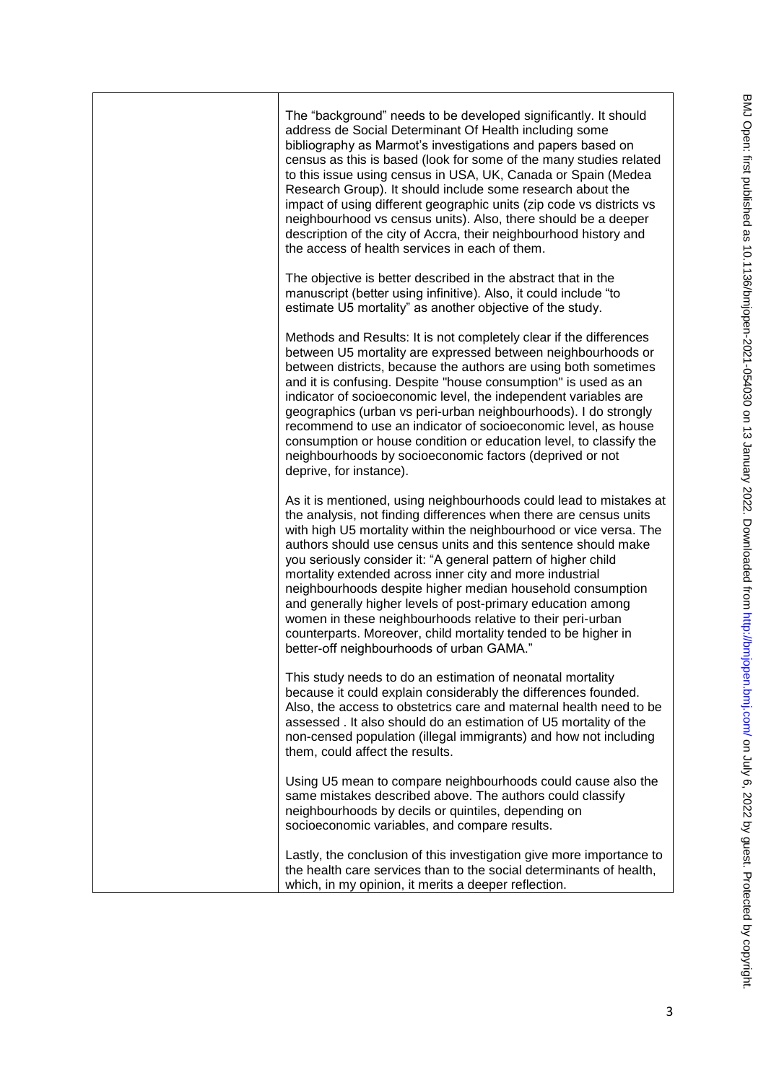|  | The "background" needs to be developed significantly. It should<br>address de Social Determinant Of Health including some<br>bibliography as Marmot's investigations and papers based on<br>census as this is based (look for some of the many studies related<br>to this issue using census in USA, UK, Canada or Spain (Medea<br>Research Group). It should include some research about the<br>impact of using different geographic units (zip code vs districts vs<br>neighbourhood vs census units). Also, there should be a deeper<br>description of the city of Accra, their neighbourhood history and<br>the access of health services in each of them.                                                        |
|--|-----------------------------------------------------------------------------------------------------------------------------------------------------------------------------------------------------------------------------------------------------------------------------------------------------------------------------------------------------------------------------------------------------------------------------------------------------------------------------------------------------------------------------------------------------------------------------------------------------------------------------------------------------------------------------------------------------------------------|
|  | The objective is better described in the abstract that in the<br>manuscript (better using infinitive). Also, it could include "to<br>estimate U5 mortality" as another objective of the study.                                                                                                                                                                                                                                                                                                                                                                                                                                                                                                                        |
|  | Methods and Results: It is not completely clear if the differences<br>between U5 mortality are expressed between neighbourhoods or<br>between districts, because the authors are using both sometimes<br>and it is confusing. Despite "house consumption" is used as an<br>indicator of socioeconomic level, the independent variables are<br>geographics (urban vs peri-urban neighbourhoods). I do strongly<br>recommend to use an indicator of socioeconomic level, as house<br>consumption or house condition or education level, to classify the<br>neighbourhoods by socioeconomic factors (deprived or not<br>deprive, for instance).                                                                          |
|  | As it is mentioned, using neighbourhoods could lead to mistakes at<br>the analysis, not finding differences when there are census units<br>with high U5 mortality within the neighbourhood or vice versa. The<br>authors should use census units and this sentence should make<br>you seriously consider it: "A general pattern of higher child<br>mortality extended across inner city and more industrial<br>neighbourhoods despite higher median household consumption<br>and generally higher levels of post-primary education among<br>women in these neighbourhoods relative to their peri-urban<br>counterparts. Moreover, child mortality tended to be higher in<br>better-off neighbourhoods of urban GAMA." |
|  | This study needs to do an estimation of neonatal mortality<br>because it could explain considerably the differences founded.<br>Also, the access to obstetrics care and maternal health need to be<br>assessed. It also should do an estimation of U5 mortality of the<br>non-censed population (illegal immigrants) and how not including<br>them, could affect the results.                                                                                                                                                                                                                                                                                                                                         |
|  | Using U5 mean to compare neighbourhoods could cause also the<br>same mistakes described above. The authors could classify<br>neighbourhoods by decils or quintiles, depending on<br>socioeconomic variables, and compare results.                                                                                                                                                                                                                                                                                                                                                                                                                                                                                     |
|  | Lastly, the conclusion of this investigation give more importance to<br>the health care services than to the social determinants of health,<br>which, in my opinion, it merits a deeper reflection.                                                                                                                                                                                                                                                                                                                                                                                                                                                                                                                   |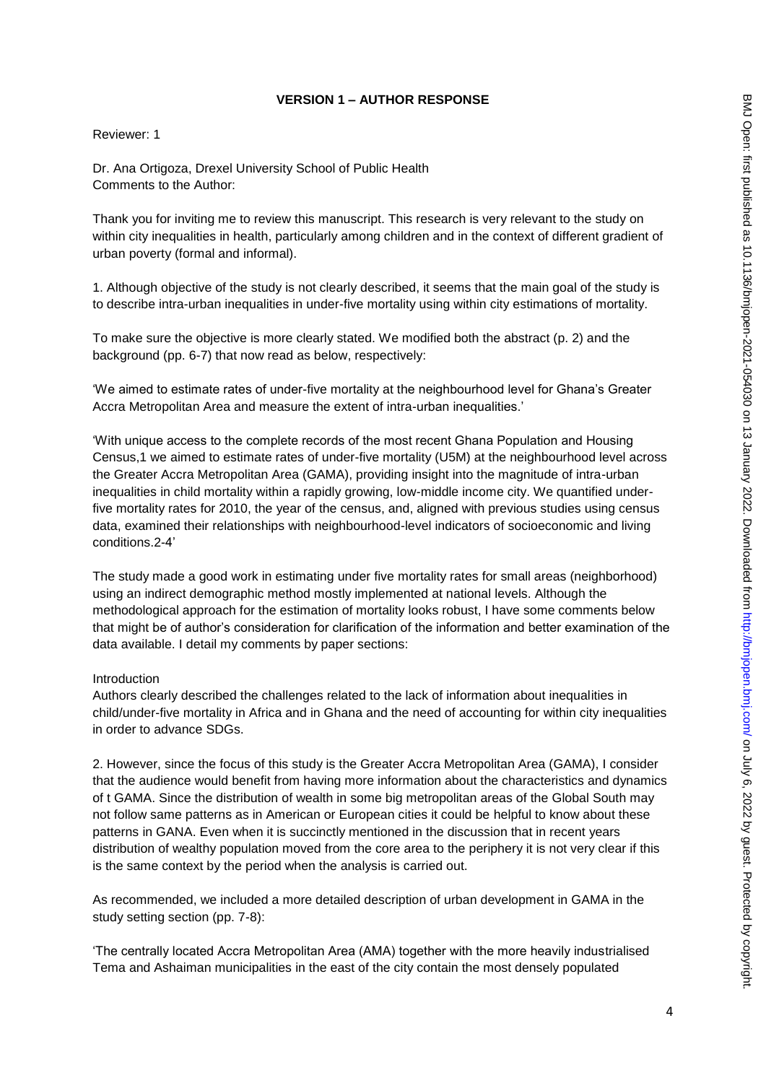## **VERSION 1 – AUTHOR RESPONSE**

### Reviewer: 1

Dr. Ana Ortigoza, Drexel University School of Public Health Comments to the Author:

Thank you for inviting me to review this manuscript. This research is very relevant to the study on within city inequalities in health, particularly among children and in the context of different gradient of urban poverty (formal and informal).

1. Although objective of the study is not clearly described, it seems that the main goal of the study is to describe intra-urban inequalities in under-five mortality using within city estimations of mortality.

To make sure the objective is more clearly stated. We modified both the abstract (p. 2) and the background (pp. 6-7) that now read as below, respectively:

'We aimed to estimate rates of under-five mortality at the neighbourhood level for Ghana's Greater Accra Metropolitan Area and measure the extent of intra-urban inequalities.'

'With unique access to the complete records of the most recent Ghana Population and Housing Census,1 we aimed to estimate rates of under-five mortality (U5M) at the neighbourhood level across the Greater Accra Metropolitan Area (GAMA), providing insight into the magnitude of intra-urban inequalities in child mortality within a rapidly growing, low-middle income city. We quantified underfive mortality rates for 2010, the year of the census, and, aligned with previous studies using census data, examined their relationships with neighbourhood-level indicators of socioeconomic and living conditions.2-4'

The study made a good work in estimating under five mortality rates for small areas (neighborhood) using an indirect demographic method mostly implemented at national levels. Although the methodological approach for the estimation of mortality looks robust, I have some comments below that might be of author's consideration for clarification of the information and better examination of the data available. I detail my comments by paper sections:

#### Introduction

Authors clearly described the challenges related to the lack of information about inequalities in child/under-five mortality in Africa and in Ghana and the need of accounting for within city inequalities in order to advance SDGs.

2. However, since the focus of this study is the Greater Accra Metropolitan Area (GAMA), I consider that the audience would benefit from having more information about the characteristics and dynamics of t GAMA. Since the distribution of wealth in some big metropolitan areas of the Global South may not follow same patterns as in American or European cities it could be helpful to know about these patterns in GANA. Even when it is succinctly mentioned in the discussion that in recent years distribution of wealthy population moved from the core area to the periphery it is not very clear if this is the same context by the period when the analysis is carried out.

As recommended, we included a more detailed description of urban development in GAMA in the study setting section (pp. 7-8):

'The centrally located Accra Metropolitan Area (AMA) together with the more heavily industrialised Tema and Ashaiman municipalities in the east of the city contain the most densely populated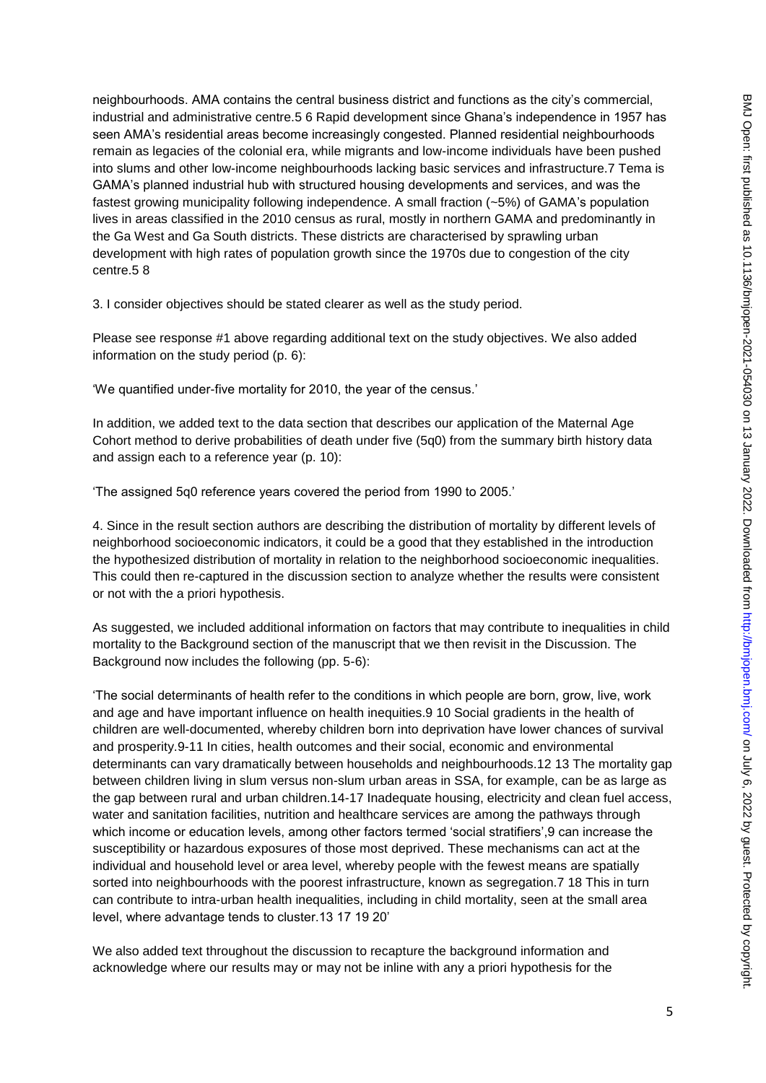neighbourhoods. AMA contains the central business district and functions as the city's commercial, industrial and administrative centre.5 6 Rapid development since Ghana's independence in 1957 has seen AMA's residential areas become increasingly congested. Planned residential neighbourhoods remain as legacies of the colonial era, while migrants and low-income individuals have been pushed into slums and other low-income neighbourhoods lacking basic services and infrastructure.7 Tema is GAMA's planned industrial hub with structured housing developments and services, and was the fastest growing municipality following independence. A small fraction (~5%) of GAMA's population lives in areas classified in the 2010 census as rural, mostly in northern GAMA and predominantly in the Ga West and Ga South districts. These districts are characterised by sprawling urban development with high rates of population growth since the 1970s due to congestion of the city centre.5 8

3. I consider objectives should be stated clearer as well as the study period.

Please see response #1 above regarding additional text on the study objectives. We also added information on the study period (p. 6):

'We quantified under-five mortality for 2010, the year of the census.'

In addition, we added text to the data section that describes our application of the Maternal Age Cohort method to derive probabilities of death under five (5q0) from the summary birth history data and assign each to a reference year (p. 10):

'The assigned 5q0 reference years covered the period from 1990 to 2005.'

4. Since in the result section authors are describing the distribution of mortality by different levels of neighborhood socioeconomic indicators, it could be a good that they established in the introduction the hypothesized distribution of mortality in relation to the neighborhood socioeconomic inequalities. This could then re-captured in the discussion section to analyze whether the results were consistent or not with the a priori hypothesis.

As suggested, we included additional information on factors that may contribute to inequalities in child mortality to the Background section of the manuscript that we then revisit in the Discussion. The Background now includes the following (pp. 5-6):

'The social determinants of health refer to the conditions in which people are born, grow, live, work and age and have important influence on health inequities.9 10 Social gradients in the health of children are well-documented, whereby children born into deprivation have lower chances of survival and prosperity.9-11 In cities, health outcomes and their social, economic and environmental determinants can vary dramatically between households and neighbourhoods.12 13 The mortality gap between children living in slum versus non-slum urban areas in SSA, for example, can be as large as the gap between rural and urban children.14-17 Inadequate housing, electricity and clean fuel access, water and sanitation facilities, nutrition and healthcare services are among the pathways through which income or education levels, among other factors termed 'social stratifiers',9 can increase the susceptibility or hazardous exposures of those most deprived. These mechanisms can act at the individual and household level or area level, whereby people with the fewest means are spatially sorted into neighbourhoods with the poorest infrastructure, known as segregation.7 18 This in turn can contribute to intra-urban health inequalities, including in child mortality, seen at the small area level, where advantage tends to cluster.13 17 19 20'

We also added text throughout the discussion to recapture the background information and acknowledge where our results may or may not be inline with any a priori hypothesis for the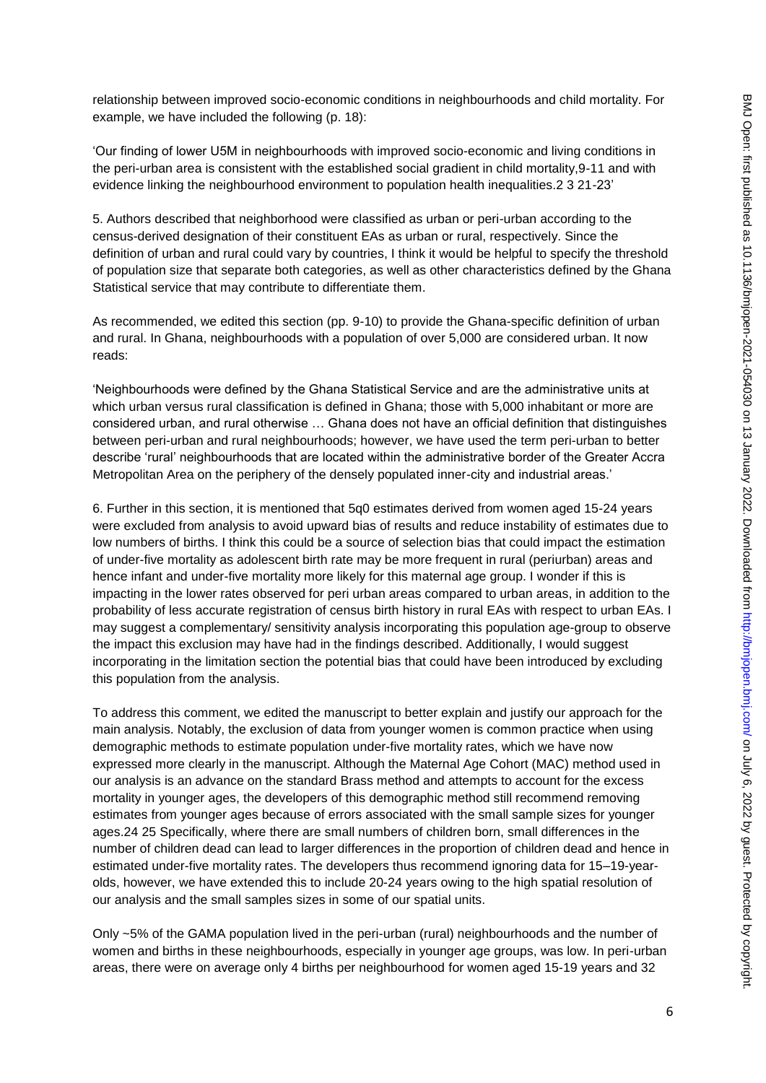relationship between improved socio-economic conditions in neighbourhoods and child mortality. For example, we have included the following (p. 18):

'Our finding of lower U5M in neighbourhoods with improved socio-economic and living conditions in the peri-urban area is consistent with the established social gradient in child mortality,9-11 and with evidence linking the neighbourhood environment to population health inequalities.2 3 21-23'

5. Authors described that neighborhood were classified as urban or peri-urban according to the census-derived designation of their constituent EAs as urban or rural, respectively. Since the definition of urban and rural could vary by countries, I think it would be helpful to specify the threshold of population size that separate both categories, as well as other characteristics defined by the Ghana Statistical service that may contribute to differentiate them.

As recommended, we edited this section (pp. 9-10) to provide the Ghana-specific definition of urban and rural. In Ghana, neighbourhoods with a population of over 5,000 are considered urban. It now reads:

'Neighbourhoods were defined by the Ghana Statistical Service and are the administrative units at which urban versus rural classification is defined in Ghana; those with 5,000 inhabitant or more are considered urban, and rural otherwise … Ghana does not have an official definition that distinguishes between peri-urban and rural neighbourhoods; however, we have used the term peri-urban to better describe 'rural' neighbourhoods that are located within the administrative border of the Greater Accra Metropolitan Area on the periphery of the densely populated inner-city and industrial areas.'

6. Further in this section, it is mentioned that 5q0 estimates derived from women aged 15-24 years were excluded from analysis to avoid upward bias of results and reduce instability of estimates due to low numbers of births. I think this could be a source of selection bias that could impact the estimation of under-five mortality as adolescent birth rate may be more frequent in rural (periurban) areas and hence infant and under-five mortality more likely for this maternal age group. I wonder if this is impacting in the lower rates observed for peri urban areas compared to urban areas, in addition to the probability of less accurate registration of census birth history in rural EAs with respect to urban EAs. I may suggest a complementary/ sensitivity analysis incorporating this population age-group to observe the impact this exclusion may have had in the findings described. Additionally, I would suggest incorporating in the limitation section the potential bias that could have been introduced by excluding this population from the analysis.

To address this comment, we edited the manuscript to better explain and justify our approach for the main analysis. Notably, the exclusion of data from younger women is common practice when using demographic methods to estimate population under-five mortality rates, which we have now expressed more clearly in the manuscript. Although the Maternal Age Cohort (MAC) method used in our analysis is an advance on the standard Brass method and attempts to account for the excess mortality in younger ages, the developers of this demographic method still recommend removing estimates from younger ages because of errors associated with the small sample sizes for younger ages.24 25 Specifically, where there are small numbers of children born, small differences in the number of children dead can lead to larger differences in the proportion of children dead and hence in estimated under-five mortality rates. The developers thus recommend ignoring data for 15–19-yearolds, however, we have extended this to include 20-24 years owing to the high spatial resolution of our analysis and the small samples sizes in some of our spatial units.

Only ~5% of the GAMA population lived in the peri-urban (rural) neighbourhoods and the number of women and births in these neighbourhoods, especially in younger age groups, was low. In peri-urban areas, there were on average only 4 births per neighbourhood for women aged 15-19 years and 32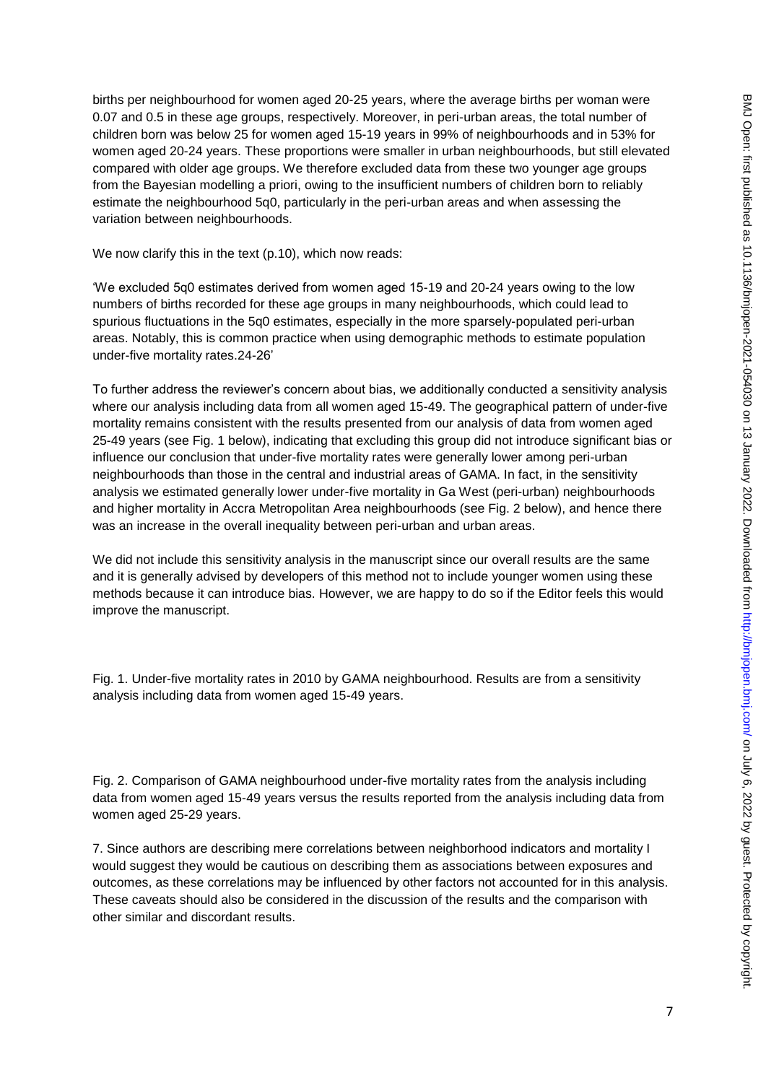births per neighbourhood for women aged 20-25 years, where the average births per woman were 0.07 and 0.5 in these age groups, respectively. Moreover, in peri-urban areas, the total number of children born was below 25 for women aged 15-19 years in 99% of neighbourhoods and in 53% for women aged 20-24 years. These proportions were smaller in urban neighbourhoods, but still elevated compared with older age groups. We therefore excluded data from these two younger age groups from the Bayesian modelling a priori, owing to the insufficient numbers of children born to reliably estimate the neighbourhood 5q0, particularly in the peri-urban areas and when assessing the variation between neighbourhoods.

We now clarify this in the text (p.10), which now reads:

'We excluded 5q0 estimates derived from women aged 15-19 and 20-24 years owing to the low numbers of births recorded for these age groups in many neighbourhoods, which could lead to spurious fluctuations in the 5q0 estimates, especially in the more sparsely-populated peri-urban areas. Notably, this is common practice when using demographic methods to estimate population under-five mortality rates.24-26'

To further address the reviewer's concern about bias, we additionally conducted a sensitivity analysis where our analysis including data from all women aged 15-49. The geographical pattern of under-five mortality remains consistent with the results presented from our analysis of data from women aged 25-49 years (see Fig. 1 below), indicating that excluding this group did not introduce significant bias or influence our conclusion that under-five mortality rates were generally lower among peri-urban neighbourhoods than those in the central and industrial areas of GAMA. In fact, in the sensitivity analysis we estimated generally lower under-five mortality in Ga West (peri-urban) neighbourhoods and higher mortality in Accra Metropolitan Area neighbourhoods (see Fig. 2 below), and hence there was an increase in the overall inequality between peri-urban and urban areas.

We did not include this sensitivity analysis in the manuscript since our overall results are the same and it is generally advised by developers of this method not to include younger women using these methods because it can introduce bias. However, we are happy to do so if the Editor feels this would improve the manuscript.

Fig. 1. Under-five mortality rates in 2010 by GAMA neighbourhood. Results are from a sensitivity analysis including data from women aged 15-49 years.

Fig. 2. Comparison of GAMA neighbourhood under-five mortality rates from the analysis including data from women aged 15-49 years versus the results reported from the analysis including data from women aged 25-29 years.

7. Since authors are describing mere correlations between neighborhood indicators and mortality I would suggest they would be cautious on describing them as associations between exposures and outcomes, as these correlations may be influenced by other factors not accounted for in this analysis. These caveats should also be considered in the discussion of the results and the comparison with other similar and discordant results.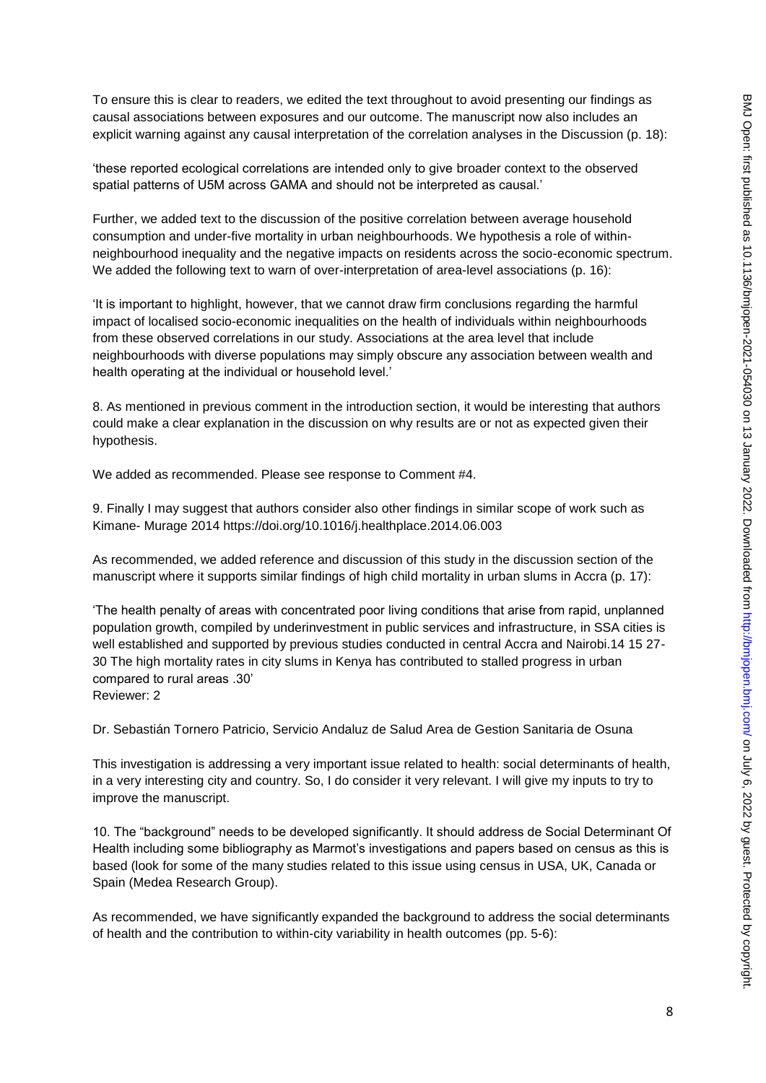To ensure this is clear to readers, we edited the text throughout to avoid presenting our findings as causal associations between exposures and our outcome. The manuscript now also includes an explicit warning against any causal interpretation of the correlation analyses in the Discussion (p. 18):

'these reported ecological correlations are intended only to give broader context to the observed spatial patterns of U5M across GAMA and should not be interpreted as causal.'

Further, we added text to the discussion of the positive correlation between average household consumption and under-five mortality in urban neighbourhoods. We hypothesis a role of withinneighbourhood inequality and the negative impacts on residents across the socio-economic spectrum. We added the following text to warn of over-interpretation of area-level associations (p. 16):

'It is important to highlight, however, that we cannot draw firm conclusions regarding the harmful impact of localised socio-economic inequalities on the health of individuals within neighbourhoods from these observed correlations in our study. Associations at the area level that include neighbourhoods with diverse populations may simply obscure any association between wealth and health operating at the individual or household level.'

8. As mentioned in previous comment in the introduction section, it would be interesting that authors could make a clear explanation in the discussion on why results are or not as expected given their hypothesis.

We added as recommended. Please see response to Comment #4.

9. Finally I may suggest that authors consider also other findings in similar scope of work such as Kimane- Murage 2014 https://doi.org/10.1016/j.healthplace.2014.06.003

As recommended, we added reference and discussion of this study in the discussion section of the manuscript where it supports similar findings of high child mortality in urban slums in Accra (p. 17):

'The health penalty of areas with concentrated poor living conditions that arise from rapid, unplanned population growth, compiled by underinvestment in public services and infrastructure, in SSA cities is well established and supported by previous studies conducted in central Accra and Nairobi.14 15 27- 30 The high mortality rates in city slums in Kenya has contributed to stalled progress in urban compared to rural areas .30' Reviewer: 2

Dr. Sebastián Tornero Patricio, Servicio Andaluz de Salud Area de Gestion Sanitaria de Osuna

This investigation is addressing a very important issue related to health: social determinants of health, in a very interesting city and country. So, I do consider it very relevant. I will give my inputs to try to improve the manuscript.

10. The "background" needs to be developed significantly. It should address de Social Determinant Of Health including some bibliography as Marmot's investigations and papers based on census as this is based (look for some of the many studies related to this issue using census in USA, UK, Canada or Spain (Medea Research Group).

As recommended, we have significantly expanded the background to address the social determinants of health and the contribution to within-city variability in health outcomes (pp. 5-6):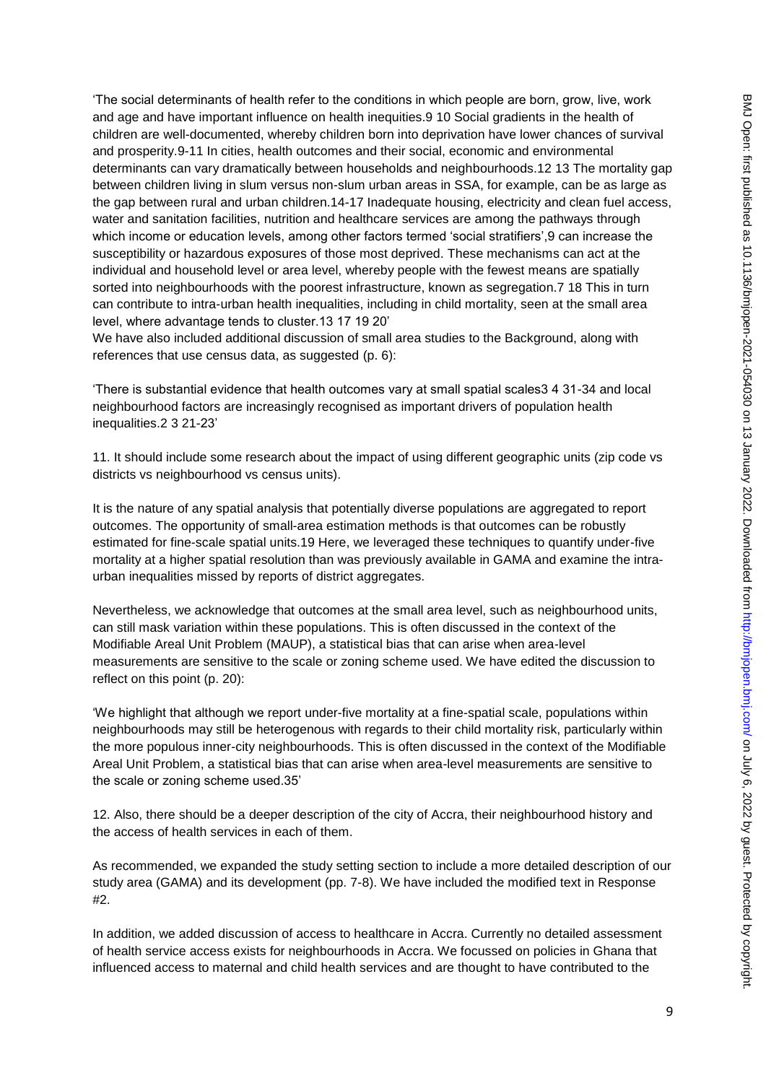'The social determinants of health refer to the conditions in which people are born, grow, live, work and age and have important influence on health inequities.9 10 Social gradients in the health of children are well-documented, whereby children born into deprivation have lower chances of survival and prosperity.9-11 In cities, health outcomes and their social, economic and environmental determinants can vary dramatically between households and neighbourhoods.12 13 The mortality gap between children living in slum versus non-slum urban areas in SSA, for example, can be as large as the gap between rural and urban children.14-17 Inadequate housing, electricity and clean fuel access, water and sanitation facilities, nutrition and healthcare services are among the pathways through which income or education levels, among other factors termed 'social stratifiers',9 can increase the susceptibility or hazardous exposures of those most deprived. These mechanisms can act at the individual and household level or area level, whereby people with the fewest means are spatially sorted into neighbourhoods with the poorest infrastructure, known as segregation.7 18 This in turn can contribute to intra-urban health inequalities, including in child mortality, seen at the small area level, where advantage tends to cluster.13 17 19 20'

We have also included additional discussion of small area studies to the Background, along with references that use census data, as suggested (p. 6):

'There is substantial evidence that health outcomes vary at small spatial scales3 4 31-34 and local neighbourhood factors are increasingly recognised as important drivers of population health inequalities.2 3 21-23'

11. It should include some research about the impact of using different geographic units (zip code vs districts vs neighbourhood vs census units).

It is the nature of any spatial analysis that potentially diverse populations are aggregated to report outcomes. The opportunity of small-area estimation methods is that outcomes can be robustly estimated for fine-scale spatial units.19 Here, we leveraged these techniques to quantify under-five mortality at a higher spatial resolution than was previously available in GAMA and examine the intraurban inequalities missed by reports of district aggregates.

Nevertheless, we acknowledge that outcomes at the small area level, such as neighbourhood units, can still mask variation within these populations. This is often discussed in the context of the Modifiable Areal Unit Problem (MAUP), a statistical bias that can arise when area-level measurements are sensitive to the scale or zoning scheme used. We have edited the discussion to reflect on this point (p. 20):

'We highlight that although we report under-five mortality at a fine-spatial scale, populations within neighbourhoods may still be heterogenous with regards to their child mortality risk, particularly within the more populous inner-city neighbourhoods. This is often discussed in the context of the Modifiable Areal Unit Problem, a statistical bias that can arise when area-level measurements are sensitive to the scale or zoning scheme used.35'

12. Also, there should be a deeper description of the city of Accra, their neighbourhood history and the access of health services in each of them.

As recommended, we expanded the study setting section to include a more detailed description of our study area (GAMA) and its development (pp. 7-8). We have included the modified text in Response #2.

In addition, we added discussion of access to healthcare in Accra. Currently no detailed assessment of health service access exists for neighbourhoods in Accra. We focussed on policies in Ghana that influenced access to maternal and child health services and are thought to have contributed to the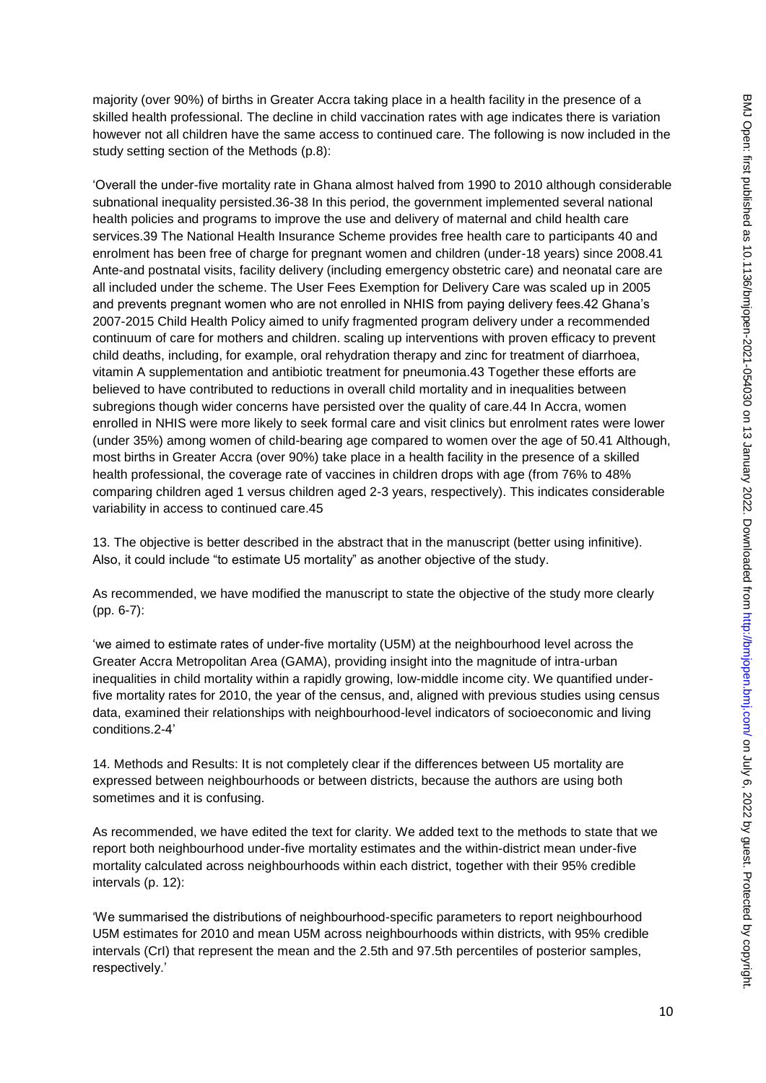majority (over 90%) of births in Greater Accra taking place in a health facility in the presence of a skilled health professional. The decline in child vaccination rates with age indicates there is variation however not all children have the same access to continued care. The following is now included in the study setting section of the Methods (p.8):

'Overall the under-five mortality rate in Ghana almost halved from 1990 to 2010 although considerable subnational inequality persisted.36-38 In this period, the government implemented several national health policies and programs to improve the use and delivery of maternal and child health care services.39 The National Health Insurance Scheme provides free health care to participants 40 and enrolment has been free of charge for pregnant women and children (under-18 years) since 2008.41 Ante-and postnatal visits, facility delivery (including emergency obstetric care) and neonatal care are all included under the scheme. The User Fees Exemption for Delivery Care was scaled up in 2005 and prevents pregnant women who are not enrolled in NHIS from paying delivery fees.42 Ghana's 2007-2015 Child Health Policy aimed to unify fragmented program delivery under a recommended continuum of care for mothers and children. scaling up interventions with proven efficacy to prevent child deaths, including, for example, oral rehydration therapy and zinc for treatment of diarrhoea, vitamin A supplementation and antibiotic treatment for pneumonia.43 Together these efforts are believed to have contributed to reductions in overall child mortality and in inequalities between subregions though wider concerns have persisted over the quality of care.44 In Accra, women enrolled in NHIS were more likely to seek formal care and visit clinics but enrolment rates were lower (under 35%) among women of child-bearing age compared to women over the age of 50.41 Although, most births in Greater Accra (over 90%) take place in a health facility in the presence of a skilled health professional, the coverage rate of vaccines in children drops with age (from 76% to 48% comparing children aged 1 versus children aged 2-3 years, respectively). This indicates considerable variability in access to continued care.45

13. The objective is better described in the abstract that in the manuscript (better using infinitive). Also, it could include "to estimate U5 mortality" as another objective of the study.

As recommended, we have modified the manuscript to state the objective of the study more clearly (pp. 6-7):

'we aimed to estimate rates of under-five mortality (U5M) at the neighbourhood level across the Greater Accra Metropolitan Area (GAMA), providing insight into the magnitude of intra-urban inequalities in child mortality within a rapidly growing, low-middle income city. We quantified underfive mortality rates for 2010, the year of the census, and, aligned with previous studies using census data, examined their relationships with neighbourhood-level indicators of socioeconomic and living conditions.2-4'

14. Methods and Results: It is not completely clear if the differences between U5 mortality are expressed between neighbourhoods or between districts, because the authors are using both sometimes and it is confusing.

As recommended, we have edited the text for clarity. We added text to the methods to state that we report both neighbourhood under-five mortality estimates and the within-district mean under-five mortality calculated across neighbourhoods within each district, together with their 95% credible intervals (p. 12):

'We summarised the distributions of neighbourhood-specific parameters to report neighbourhood U5M estimates for 2010 and mean U5M across neighbourhoods within districts, with 95% credible intervals (CrI) that represent the mean and the 2.5th and 97.5th percentiles of posterior samples, respectively.'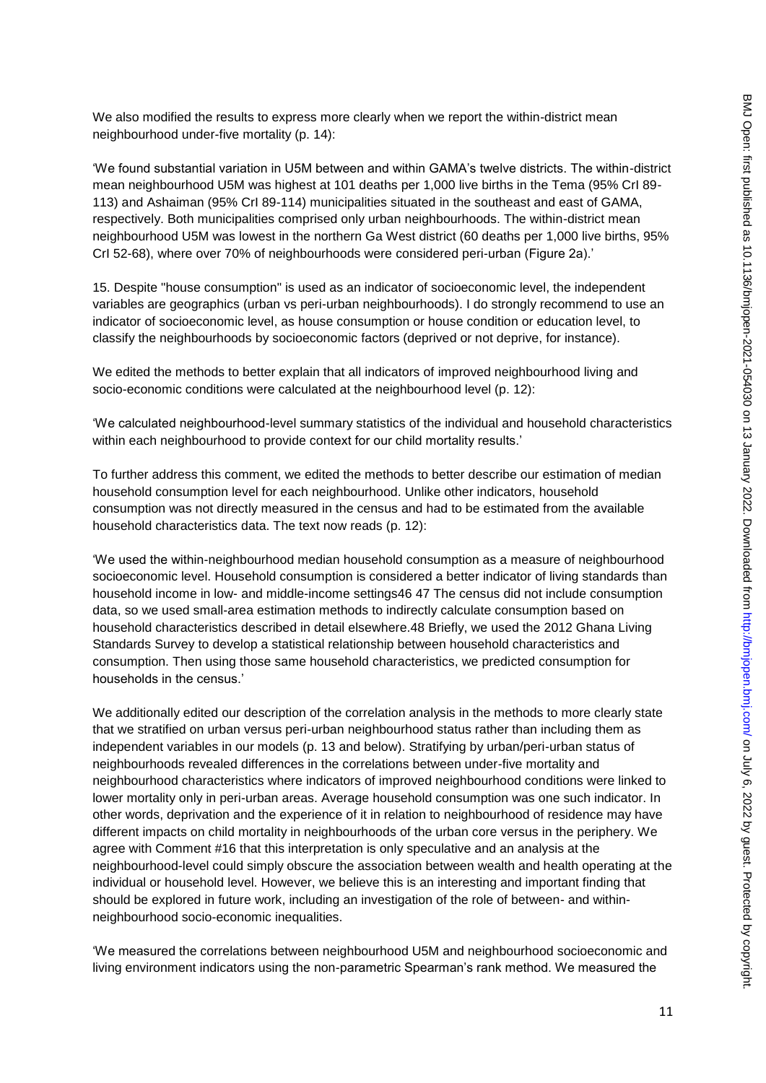We also modified the results to express more clearly when we report the within-district mean neighbourhood under-five mortality (p. 14):

'We found substantial variation in U5M between and within GAMA's twelve districts. The within-district mean neighbourhood U5M was highest at 101 deaths per 1,000 live births in the Tema (95% CrI 89- 113) and Ashaiman (95% CrI 89-114) municipalities situated in the southeast and east of GAMA, respectively. Both municipalities comprised only urban neighbourhoods. The within-district mean neighbourhood U5M was lowest in the northern Ga West district (60 deaths per 1,000 live births, 95% CrI 52-68), where over 70% of neighbourhoods were considered peri-urban (Figure 2a).'

15. Despite "house consumption" is used as an indicator of socioeconomic level, the independent variables are geographics (urban vs peri-urban neighbourhoods). I do strongly recommend to use an indicator of socioeconomic level, as house consumption or house condition or education level, to classify the neighbourhoods by socioeconomic factors (deprived or not deprive, for instance).

We edited the methods to better explain that all indicators of improved neighbourhood living and socio-economic conditions were calculated at the neighbourhood level (p. 12):

'We calculated neighbourhood-level summary statistics of the individual and household characteristics within each neighbourhood to provide context for our child mortality results.'

To further address this comment, we edited the methods to better describe our estimation of median household consumption level for each neighbourhood. Unlike other indicators, household consumption was not directly measured in the census and had to be estimated from the available household characteristics data. The text now reads (p. 12):

'We used the within-neighbourhood median household consumption as a measure of neighbourhood socioeconomic level. Household consumption is considered a better indicator of living standards than household income in low- and middle-income settings46 47 The census did not include consumption data, so we used small-area estimation methods to indirectly calculate consumption based on household characteristics described in detail elsewhere.48 Briefly, we used the 2012 Ghana Living Standards Survey to develop a statistical relationship between household characteristics and consumption. Then using those same household characteristics, we predicted consumption for households in the census.'

We additionally edited our description of the correlation analysis in the methods to more clearly state that we stratified on urban versus peri-urban neighbourhood status rather than including them as independent variables in our models (p. 13 and below). Stratifying by urban/peri-urban status of neighbourhoods revealed differences in the correlations between under-five mortality and neighbourhood characteristics where indicators of improved neighbourhood conditions were linked to lower mortality only in peri-urban areas. Average household consumption was one such indicator. In other words, deprivation and the experience of it in relation to neighbourhood of residence may have different impacts on child mortality in neighbourhoods of the urban core versus in the periphery. We agree with Comment #16 that this interpretation is only speculative and an analysis at the neighbourhood-level could simply obscure the association between wealth and health operating at the individual or household level. However, we believe this is an interesting and important finding that should be explored in future work, including an investigation of the role of between- and withinneighbourhood socio-economic inequalities.

'We measured the correlations between neighbourhood U5M and neighbourhood socioeconomic and living environment indicators using the non-parametric Spearman's rank method. We measured the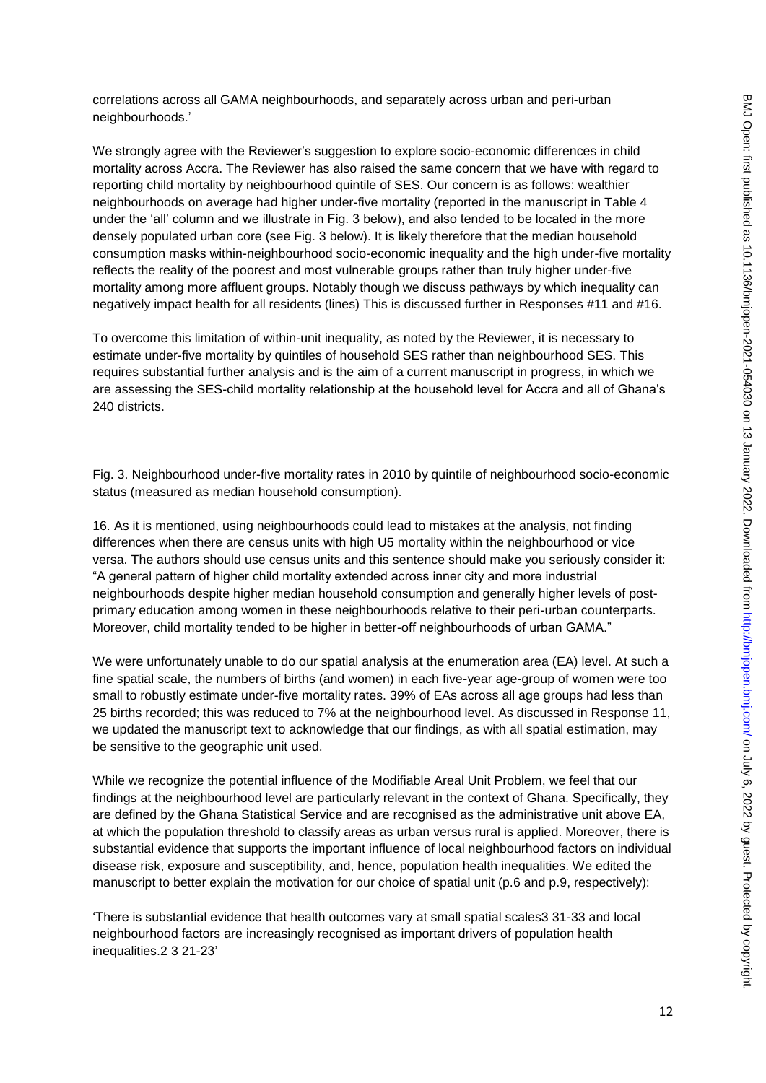correlations across all GAMA neighbourhoods, and separately across urban and peri-urban neighbourhoods.'

We strongly agree with the Reviewer's suggestion to explore socio-economic differences in child mortality across Accra. The Reviewer has also raised the same concern that we have with regard to reporting child mortality by neighbourhood quintile of SES. Our concern is as follows: wealthier neighbourhoods on average had higher under-five mortality (reported in the manuscript in Table 4 under the 'all' column and we illustrate in Fig. 3 below), and also tended to be located in the more densely populated urban core (see Fig. 3 below). It is likely therefore that the median household consumption masks within-neighbourhood socio-economic inequality and the high under-five mortality reflects the reality of the poorest and most vulnerable groups rather than truly higher under-five mortality among more affluent groups. Notably though we discuss pathways by which inequality can negatively impact health for all residents (lines) This is discussed further in Responses #11 and #16.

To overcome this limitation of within-unit inequality, as noted by the Reviewer, it is necessary to estimate under-five mortality by quintiles of household SES rather than neighbourhood SES. This requires substantial further analysis and is the aim of a current manuscript in progress, in which we are assessing the SES-child mortality relationship at the household level for Accra and all of Ghana's 240 districts.

Fig. 3. Neighbourhood under-five mortality rates in 2010 by quintile of neighbourhood socio-economic status (measured as median household consumption).

16. As it is mentioned, using neighbourhoods could lead to mistakes at the analysis, not finding differences when there are census units with high U5 mortality within the neighbourhood or vice versa. The authors should use census units and this sentence should make you seriously consider it: "A general pattern of higher child mortality extended across inner city and more industrial neighbourhoods despite higher median household consumption and generally higher levels of postprimary education among women in these neighbourhoods relative to their peri-urban counterparts. Moreover, child mortality tended to be higher in better-off neighbourhoods of urban GAMA."

We were unfortunately unable to do our spatial analysis at the enumeration area (EA) level. At such a fine spatial scale, the numbers of births (and women) in each five-year age-group of women were too small to robustly estimate under-five mortality rates. 39% of EAs across all age groups had less than 25 births recorded; this was reduced to 7% at the neighbourhood level. As discussed in Response 11, we updated the manuscript text to acknowledge that our findings, as with all spatial estimation, may be sensitive to the geographic unit used.

While we recognize the potential influence of the Modifiable Areal Unit Problem, we feel that our findings at the neighbourhood level are particularly relevant in the context of Ghana. Specifically, they are defined by the Ghana Statistical Service and are recognised as the administrative unit above EA, at which the population threshold to classify areas as urban versus rural is applied. Moreover, there is substantial evidence that supports the important influence of local neighbourhood factors on individual disease risk, exposure and susceptibility, and, hence, population health inequalities. We edited the manuscript to better explain the motivation for our choice of spatial unit (p.6 and p.9, respectively):

'There is substantial evidence that health outcomes vary at small spatial scales3 31-33 and local neighbourhood factors are increasingly recognised as important drivers of population health inequalities.2 3 21-23'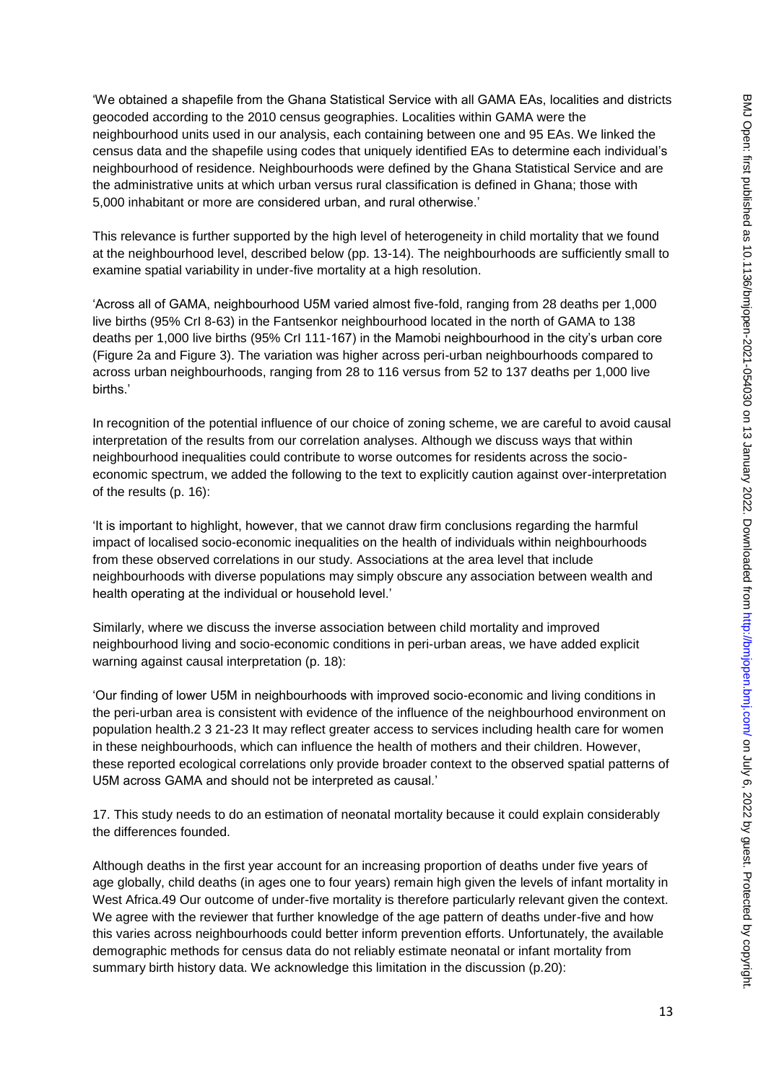'We obtained a shapefile from the Ghana Statistical Service with all GAMA EAs, localities and districts geocoded according to the 2010 census geographies. Localities within GAMA were the neighbourhood units used in our analysis, each containing between one and 95 EAs. We linked the census data and the shapefile using codes that uniquely identified EAs to determine each individual's neighbourhood of residence. Neighbourhoods were defined by the Ghana Statistical Service and are the administrative units at which urban versus rural classification is defined in Ghana; those with 5,000 inhabitant or more are considered urban, and rural otherwise.'

This relevance is further supported by the high level of heterogeneity in child mortality that we found at the neighbourhood level, described below (pp. 13-14). The neighbourhoods are sufficiently small to examine spatial variability in under-five mortality at a high resolution.

'Across all of GAMA, neighbourhood U5M varied almost five-fold, ranging from 28 deaths per 1,000 live births (95% CrI 8-63) in the Fantsenkor neighbourhood located in the north of GAMA to 138 deaths per 1,000 live births (95% CrI 111-167) in the Mamobi neighbourhood in the city's urban core (Figure 2a and Figure 3). The variation was higher across peri-urban neighbourhoods compared to across urban neighbourhoods, ranging from 28 to 116 versus from 52 to 137 deaths per 1,000 live births.'

In recognition of the potential influence of our choice of zoning scheme, we are careful to avoid causal interpretation of the results from our correlation analyses. Although we discuss ways that within neighbourhood inequalities could contribute to worse outcomes for residents across the socioeconomic spectrum, we added the following to the text to explicitly caution against over-interpretation of the results (p. 16):

'It is important to highlight, however, that we cannot draw firm conclusions regarding the harmful impact of localised socio-economic inequalities on the health of individuals within neighbourhoods from these observed correlations in our study. Associations at the area level that include neighbourhoods with diverse populations may simply obscure any association between wealth and health operating at the individual or household level.'

Similarly, where we discuss the inverse association between child mortality and improved neighbourhood living and socio-economic conditions in peri-urban areas, we have added explicit warning against causal interpretation (p. 18):

'Our finding of lower U5M in neighbourhoods with improved socio-economic and living conditions in the peri-urban area is consistent with evidence of the influence of the neighbourhood environment on population health.2 3 21-23 It may reflect greater access to services including health care for women in these neighbourhoods, which can influence the health of mothers and their children. However, these reported ecological correlations only provide broader context to the observed spatial patterns of U5M across GAMA and should not be interpreted as causal.'

17. This study needs to do an estimation of neonatal mortality because it could explain considerably the differences founded.

Although deaths in the first year account for an increasing proportion of deaths under five years of age globally, child deaths (in ages one to four years) remain high given the levels of infant mortality in West Africa.49 Our outcome of under-five mortality is therefore particularly relevant given the context. We agree with the reviewer that further knowledge of the age pattern of deaths under-five and how this varies across neighbourhoods could better inform prevention efforts. Unfortunately, the available demographic methods for census data do not reliably estimate neonatal or infant mortality from summary birth history data. We acknowledge this limitation in the discussion (p.20):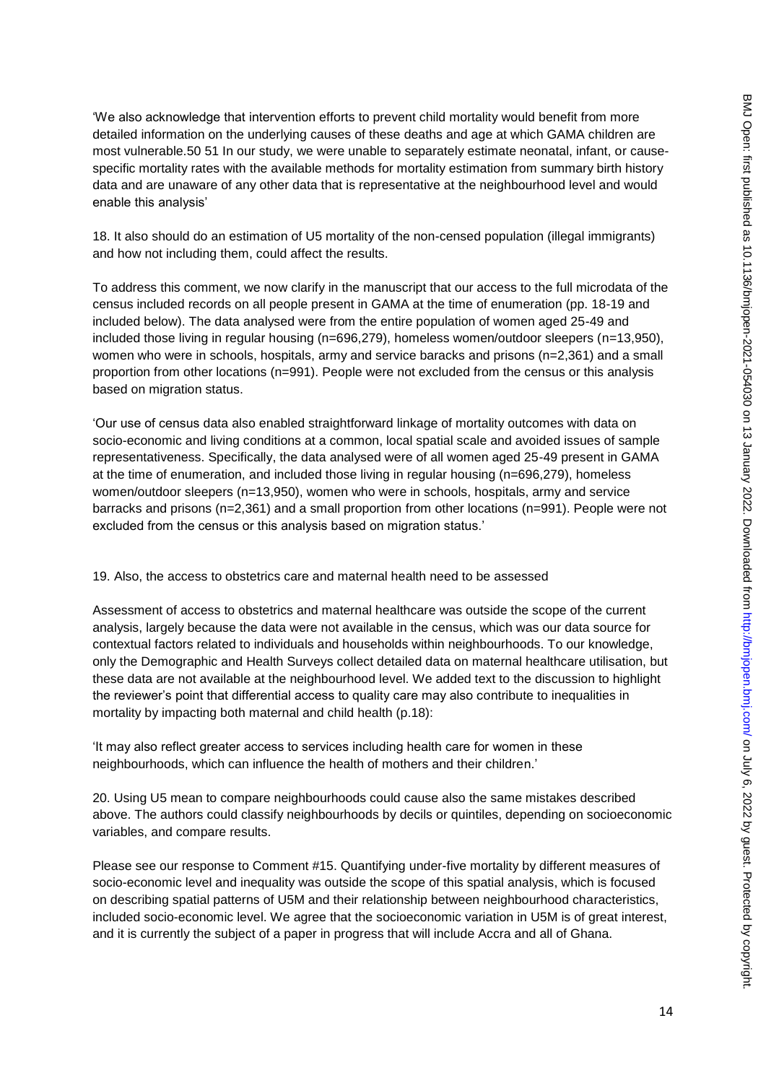'We also acknowledge that intervention efforts to prevent child mortality would benefit from more detailed information on the underlying causes of these deaths and age at which GAMA children are most vulnerable.50 51 In our study, we were unable to separately estimate neonatal, infant, or causespecific mortality rates with the available methods for mortality estimation from summary birth history data and are unaware of any other data that is representative at the neighbourhood level and would enable this analysis'

18. It also should do an estimation of U5 mortality of the non-censed population (illegal immigrants) and how not including them, could affect the results.

To address this comment, we now clarify in the manuscript that our access to the full microdata of the census included records on all people present in GAMA at the time of enumeration (pp. 18-19 and included below). The data analysed were from the entire population of women aged 25-49 and included those living in regular housing (n=696,279), homeless women/outdoor sleepers (n=13,950), women who were in schools, hospitals, army and service baracks and prisons (n=2,361) and a small proportion from other locations (n=991). People were not excluded from the census or this analysis based on migration status.

'Our use of census data also enabled straightforward linkage of mortality outcomes with data on socio-economic and living conditions at a common, local spatial scale and avoided issues of sample representativeness. Specifically, the data analysed were of all women aged 25-49 present in GAMA at the time of enumeration, and included those living in regular housing (n=696,279), homeless women/outdoor sleepers (n=13,950), women who were in schools, hospitals, army and service barracks and prisons (n=2,361) and a small proportion from other locations (n=991). People were not excluded from the census or this analysis based on migration status.'

## 19. Also, the access to obstetrics care and maternal health need to be assessed

Assessment of access to obstetrics and maternal healthcare was outside the scope of the current analysis, largely because the data were not available in the census, which was our data source for contextual factors related to individuals and households within neighbourhoods. To our knowledge, only the Demographic and Health Surveys collect detailed data on maternal healthcare utilisation, but these data are not available at the neighbourhood level. We added text to the discussion to highlight the reviewer's point that differential access to quality care may also contribute to inequalities in mortality by impacting both maternal and child health (p.18):

'It may also reflect greater access to services including health care for women in these neighbourhoods, which can influence the health of mothers and their children.'

20. Using U5 mean to compare neighbourhoods could cause also the same mistakes described above. The authors could classify neighbourhoods by decils or quintiles, depending on socioeconomic variables, and compare results.

Please see our response to Comment #15. Quantifying under-five mortality by different measures of socio-economic level and inequality was outside the scope of this spatial analysis, which is focused on describing spatial patterns of U5M and their relationship between neighbourhood characteristics, included socio-economic level. We agree that the socioeconomic variation in U5M is of great interest, and it is currently the subject of a paper in progress that will include Accra and all of Ghana.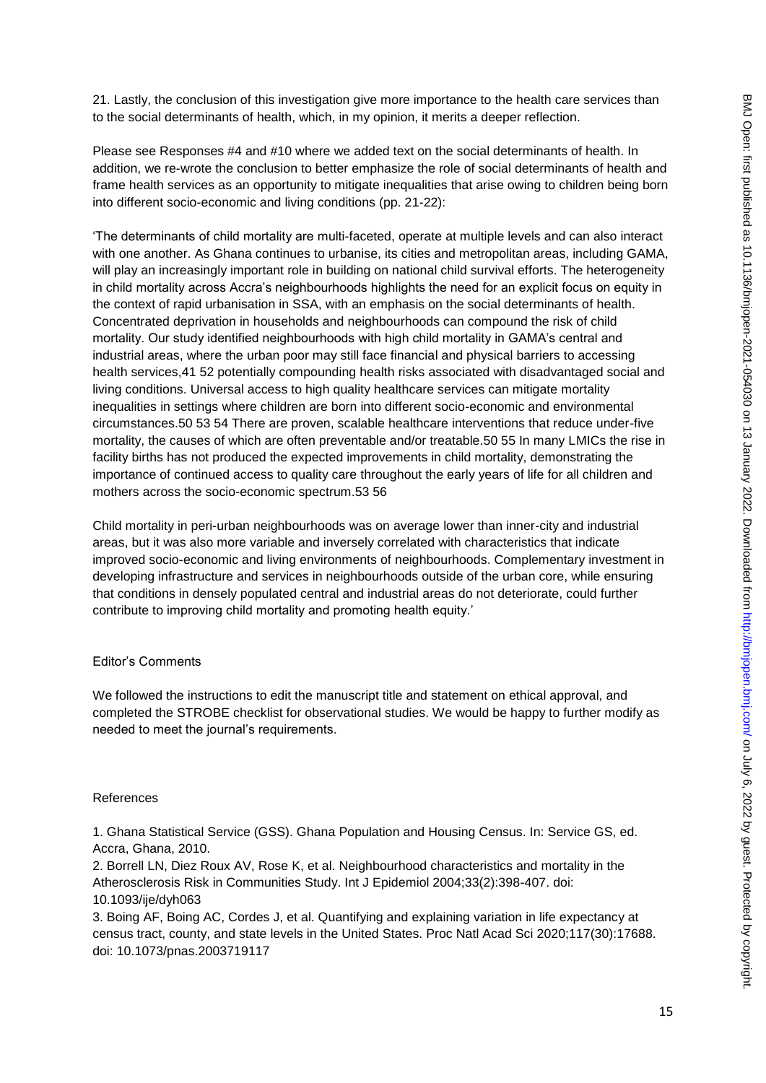21. Lastly, the conclusion of this investigation give more importance to the health care services than to the social determinants of health, which, in my opinion, it merits a deeper reflection.

Please see Responses #4 and #10 where we added text on the social determinants of health. In addition, we re-wrote the conclusion to better emphasize the role of social determinants of health and frame health services as an opportunity to mitigate inequalities that arise owing to children being born into different socio-economic and living conditions (pp. 21-22):

'The determinants of child mortality are multi-faceted, operate at multiple levels and can also interact with one another. As Ghana continues to urbanise, its cities and metropolitan areas, including GAMA, will play an increasingly important role in building on national child survival efforts. The heterogeneity in child mortality across Accra's neighbourhoods highlights the need for an explicit focus on equity in the context of rapid urbanisation in SSA, with an emphasis on the social determinants of health. Concentrated deprivation in households and neighbourhoods can compound the risk of child mortality. Our study identified neighbourhoods with high child mortality in GAMA's central and industrial areas, where the urban poor may still face financial and physical barriers to accessing health services,41 52 potentially compounding health risks associated with disadvantaged social and living conditions. Universal access to high quality healthcare services can mitigate mortality inequalities in settings where children are born into different socio-economic and environmental circumstances.50 53 54 There are proven, scalable healthcare interventions that reduce under-five mortality, the causes of which are often preventable and/or treatable.50 55 In many LMICs the rise in facility births has not produced the expected improvements in child mortality, demonstrating the importance of continued access to quality care throughout the early years of life for all children and mothers across the socio-economic spectrum.53 56

Child mortality in peri-urban neighbourhoods was on average lower than inner-city and industrial areas, but it was also more variable and inversely correlated with characteristics that indicate improved socio-economic and living environments of neighbourhoods. Complementary investment in developing infrastructure and services in neighbourhoods outside of the urban core, while ensuring that conditions in densely populated central and industrial areas do not deteriorate, could further contribute to improving child mortality and promoting health equity.'

## Editor's Comments

We followed the instructions to edit the manuscript title and statement on ethical approval, and completed the STROBE checklist for observational studies. We would be happy to further modify as needed to meet the journal's requirements.

#### References

1. Ghana Statistical Service (GSS). Ghana Population and Housing Census. In: Service GS, ed. Accra, Ghana, 2010.

2. Borrell LN, Diez Roux AV, Rose K, et al. Neighbourhood characteristics and mortality in the Atherosclerosis Risk in Communities Study. Int J Epidemiol 2004;33(2):398-407. doi: 10.1093/ije/dyh063

3. Boing AF, Boing AC, Cordes J, et al. Quantifying and explaining variation in life expectancy at census tract, county, and state levels in the United States. Proc Natl Acad Sci 2020;117(30):17688. doi: 10.1073/pnas.2003719117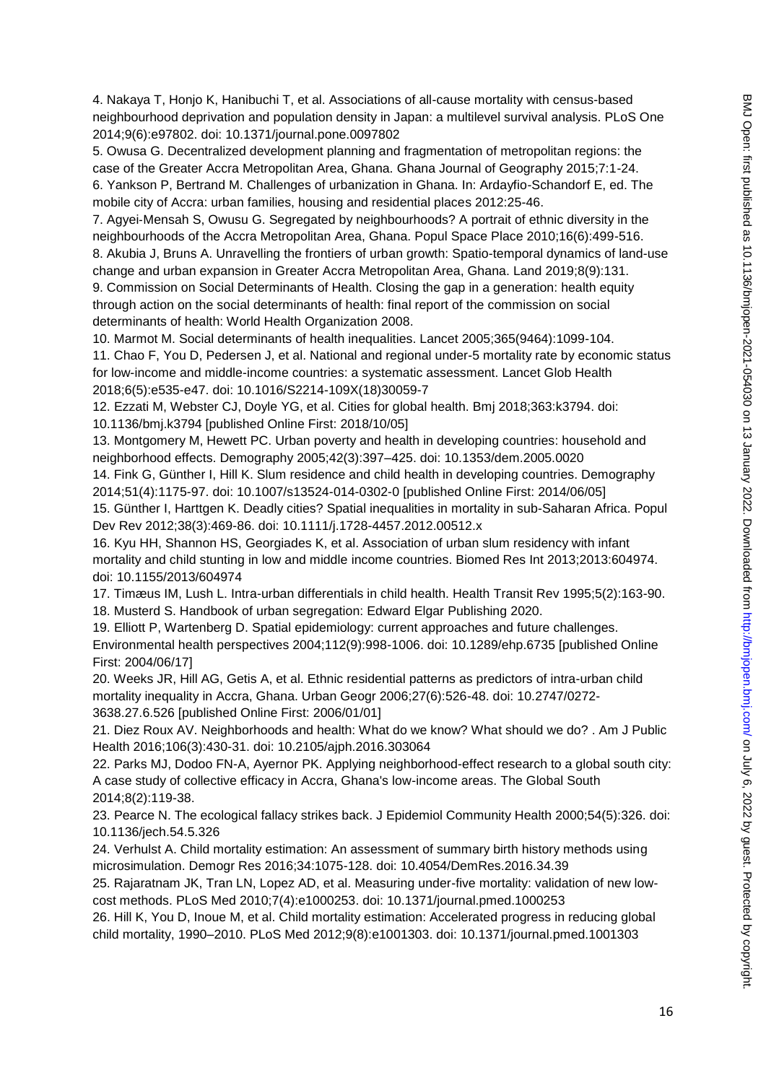4. Nakaya T, Honjo K, Hanibuchi T, et al. Associations of all-cause mortality with census-based neighbourhood deprivation and population density in Japan: a multilevel survival analysis. PLoS One 2014;9(6):e97802. doi: 10.1371/journal.pone.0097802

5. Owusa G. Decentralized development planning and fragmentation of metropolitan regions: the case of the Greater Accra Metropolitan Area, Ghana. Ghana Journal of Geography 2015;7:1-24.

6. Yankson P, Bertrand M. Challenges of urbanization in Ghana. In: Ardayfio-Schandorf E, ed. The mobile city of Accra: urban families, housing and residential places 2012:25-46.

7. Agyei‐Mensah S, Owusu G. Segregated by neighbourhoods? A portrait of ethnic diversity in the neighbourhoods of the Accra Metropolitan Area, Ghana. Popul Space Place 2010;16(6):499-516. 8. Akubia J, Bruns A. Unravelling the frontiers of urban growth: Spatio-temporal dynamics of land-use

change and urban expansion in Greater Accra Metropolitan Area, Ghana. Land 2019;8(9):131. 9. Commission on Social Determinants of Health. Closing the gap in a generation: health equity through action on the social determinants of health: final report of the commission on social determinants of health: World Health Organization 2008.

10. Marmot M. Social determinants of health inequalities. Lancet 2005;365(9464):1099-104.

11. Chao F, You D, Pedersen J, et al. National and regional under-5 mortality rate by economic status for low-income and middle-income countries: a systematic assessment. Lancet Glob Health 2018;6(5):e535-e47. doi: 10.1016/S2214-109X(18)30059-7

12. Ezzati M, Webster CJ, Doyle YG, et al. Cities for global health. Bmj 2018;363:k3794. doi: 10.1136/bmj.k3794 [published Online First: 2018/10/05]

13. Montgomery M, Hewett PC. Urban poverty and health in developing countries: household and neighborhood effects. Demography 2005;42(3):397–425. doi: 10.1353/dem.2005.0020

14. Fink G, Günther I, Hill K. Slum residence and child health in developing countries. Demography 2014;51(4):1175-97. doi: 10.1007/s13524-014-0302-0 [published Online First: 2014/06/05]

15. Günther I, Harttgen K. Deadly cities? Spatial inequalities in mortality in sub-Saharan Africa. Popul Dev Rev 2012;38(3):469-86. doi: 10.1111/j.1728-4457.2012.00512.x

16. Kyu HH, Shannon HS, Georgiades K, et al. Association of urban slum residency with infant mortality and child stunting in low and middle income countries. Biomed Res Int 2013;2013:604974. doi: 10.1155/2013/604974

17. Timæus IM, Lush L. Intra-urban differentials in child health. Health Transit Rev 1995;5(2):163-90. 18. Musterd S. Handbook of urban segregation: Edward Elgar Publishing 2020.

19. Elliott P, Wartenberg D. Spatial epidemiology: current approaches and future challenges. Environmental health perspectives 2004;112(9):998-1006. doi: 10.1289/ehp.6735 [published Online First: 2004/06/17]

20. Weeks JR, Hill AG, Getis A, et al. Ethnic residential patterns as predictors of intra-urban child mortality inequality in Accra, Ghana. Urban Geogr 2006;27(6):526-48. doi: 10.2747/0272- 3638.27.6.526 [published Online First: 2006/01/01]

21. Diez Roux AV. Neighborhoods and health: What do we know? What should we do? . Am J Public Health 2016;106(3):430-31. doi: 10.2105/ajph.2016.303064

22. Parks MJ, Dodoo FN-A, Ayernor PK. Applying neighborhood-effect research to a global south city: A case study of collective efficacy in Accra, Ghana's low-income areas. The Global South 2014;8(2):119-38.

23. Pearce N. The ecological fallacy strikes back. J Epidemiol Community Health 2000;54(5):326. doi: 10.1136/jech.54.5.326

24. Verhulst A. Child mortality estimation: An assessment of summary birth history methods using microsimulation. Demogr Res 2016;34:1075-128. doi: 10.4054/DemRes.2016.34.39

25. Rajaratnam JK, Tran LN, Lopez AD, et al. Measuring under-five mortality: validation of new lowcost methods. PLoS Med 2010;7(4):e1000253. doi: 10.1371/journal.pmed.1000253

26. Hill K, You D, Inoue M, et al. Child mortality estimation: Accelerated progress in reducing global child mortality, 1990–2010. PLoS Med 2012;9(8):e1001303. doi: 10.1371/journal.pmed.1001303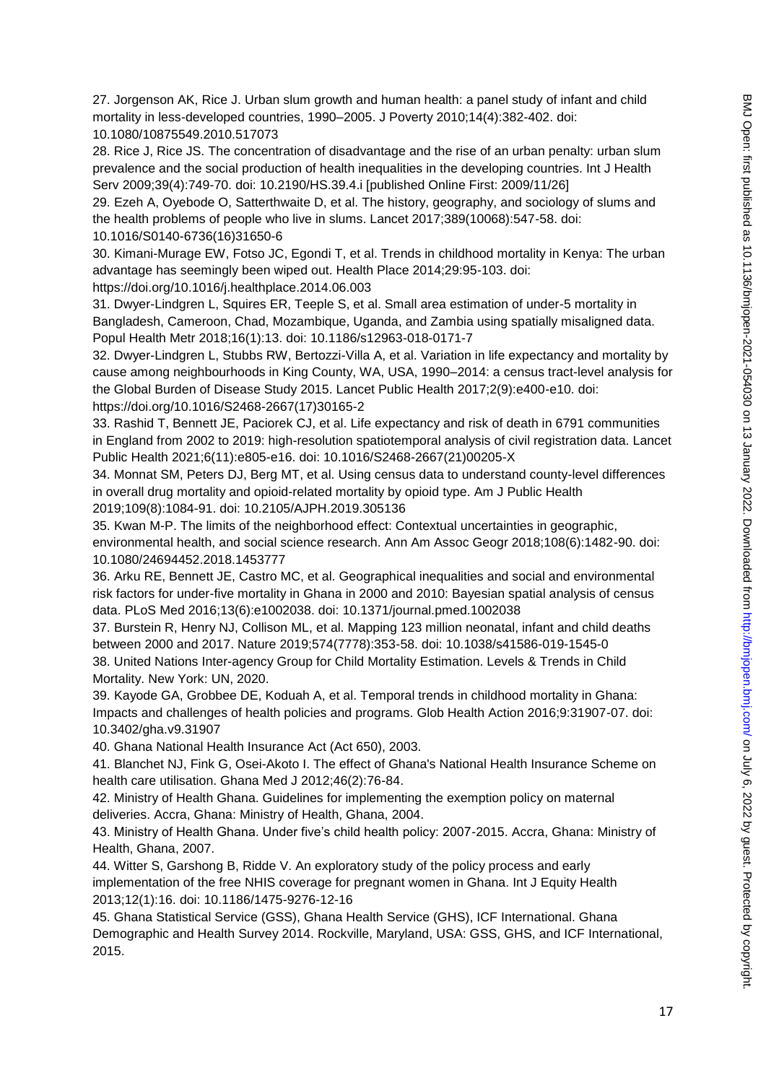27. Jorgenson AK, Rice J. Urban slum growth and human health: a panel study of infant and child mortality in less-developed countries, 1990–2005. J Poverty 2010;14(4):382-402. doi: 10.1080/10875549.2010.517073

28. Rice J, Rice JS. The concentration of disadvantage and the rise of an urban penalty: urban slum prevalence and the social production of health inequalities in the developing countries. Int J Health Serv 2009;39(4):749-70. doi: 10.2190/HS.39.4.i [published Online First: 2009/11/26]

29. Ezeh A, Oyebode O, Satterthwaite D, et al. The history, geography, and sociology of slums and the health problems of people who live in slums. Lancet 2017;389(10068):547-58. doi:

10.1016/S0140-6736(16)31650-6

30. Kimani-Murage EW, Fotso JC, Egondi T, et al. Trends in childhood mortality in Kenya: The urban advantage has seemingly been wiped out. Health Place 2014;29:95-103. doi:

https://doi.org/10.1016/j.healthplace.2014.06.003

31. Dwyer-Lindgren L, Squires ER, Teeple S, et al. Small area estimation of under-5 mortality in Bangladesh, Cameroon, Chad, Mozambique, Uganda, and Zambia using spatially misaligned data. Popul Health Metr 2018;16(1):13. doi: 10.1186/s12963-018-0171-7

32. Dwyer-Lindgren L, Stubbs RW, Bertozzi-Villa A, et al. Variation in life expectancy and mortality by cause among neighbourhoods in King County, WA, USA, 1990–2014: a census tract-level analysis for the Global Burden of Disease Study 2015. Lancet Public Health 2017;2(9):e400-e10. doi: https://doi.org/10.1016/S2468-2667(17)30165-2

33. Rashid T, Bennett JE, Paciorek CJ, et al. Life expectancy and risk of death in 6791 communities in England from 2002 to 2019: high-resolution spatiotemporal analysis of civil registration data. Lancet Public Health 2021;6(11):e805-e16. doi: 10.1016/S2468-2667(21)00205-X

34. Monnat SM, Peters DJ, Berg MT, et al. Using census data to understand county-level differences in overall drug mortality and opioid-related mortality by opioid type. Am J Public Health 2019;109(8):1084-91. doi: 10.2105/AJPH.2019.305136

35. Kwan M-P. The limits of the neighborhood effect: Contextual uncertainties in geographic,

environmental health, and social science research. Ann Am Assoc Geogr 2018;108(6):1482-90. doi: 10.1080/24694452.2018.1453777

36. Arku RE, Bennett JE, Castro MC, et al. Geographical inequalities and social and environmental risk factors for under-five mortality in Ghana in 2000 and 2010: Bayesian spatial analysis of census data. PLoS Med 2016;13(6):e1002038. doi: 10.1371/journal.pmed.1002038

37. Burstein R, Henry NJ, Collison ML, et al. Mapping 123 million neonatal, infant and child deaths between 2000 and 2017. Nature 2019;574(7778):353-58. doi: 10.1038/s41586-019-1545-0 38. United Nations Inter-agency Group for Child Mortality Estimation. Levels & Trends in Child Mortality. New York: UN, 2020.

39. Kayode GA, Grobbee DE, Koduah A, et al. Temporal trends in childhood mortality in Ghana: Impacts and challenges of health policies and programs. Glob Health Action 2016;9:31907-07. doi: 10.3402/gha.v9.31907

40. Ghana National Health Insurance Act (Act 650), 2003.

41. Blanchet NJ, Fink G, Osei-Akoto I. The effect of Ghana's National Health Insurance Scheme on health care utilisation. Ghana Med J 2012;46(2):76-84.

42. Ministry of Health Ghana. Guidelines for implementing the exemption policy on maternal deliveries. Accra, Ghana: Ministry of Health, Ghana, 2004.

43. Ministry of Health Ghana. Under five's child health policy: 2007-2015. Accra, Ghana: Ministry of Health, Ghana, 2007.

44. Witter S, Garshong B, Ridde V. An exploratory study of the policy process and early implementation of the free NHIS coverage for pregnant women in Ghana. Int J Equity Health 2013;12(1):16. doi: 10.1186/1475-9276-12-16

45. Ghana Statistical Service (GSS), Ghana Health Service (GHS), ICF International. Ghana Demographic and Health Survey 2014. Rockville, Maryland, USA: GSS, GHS, and ICF International, 2015.